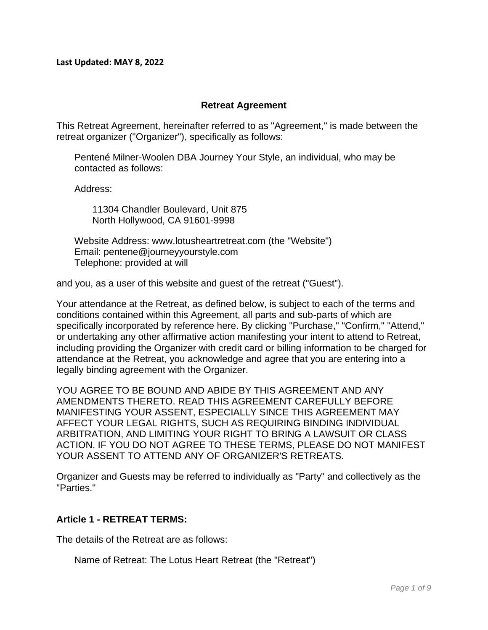**Last Updated: MAY 8, 2022**

#### **Retreat Agreement**

This Retreat Agreement, hereinafter referred to as "Agreement," is made between the retreat organizer ("Organizer"), specifically as follows:

Pentené Milner-Woolen DBA Journey Your Style, an individual, who may be contacted as follows:

Address:

11304 Chandler Boulevard, Unit 875 North Hollywood, CA 91601-9998

Website Address: www.lotusheartretreat.com (the "Website") Email: pentene@journeyyourstyle.com Telephone: provided at will

and you, as a user of this website and guest of the retreat ("Guest").

Your attendance at the Retreat, as defined below, is subject to each of the terms and conditions contained within this Agreement, all parts and sub-parts of which are specifically incorporated by reference here. By clicking "Purchase," "Confirm," "Attend," or undertaking any other affirmative action manifesting your intent to attend to Retreat, including providing the Organizer with credit card or billing information to be charged for attendance at the Retreat, you acknowledge and agree that you are entering into a legally binding agreement with the Organizer.

YOU AGREE TO BE BOUND AND ABIDE BY THIS AGREEMENT AND ANY AMENDMENTS THERETO. READ THIS AGREEMENT CAREFULLY BEFORE MANIFESTING YOUR ASSENT, ESPECIALLY SINCE THIS AGREEMENT MAY AFFECT YOUR LEGAL RIGHTS, SUCH AS REQUIRING BINDING INDIVIDUAL ARBITRATION, AND LIMITING YOUR RIGHT TO BRING A LAWSUIT OR CLASS ACTION. IF YOU DO NOT AGREE TO THESE TERMS, PLEASE DO NOT MANIFEST YOUR ASSENT TO ATTEND ANY OF ORGANIZER'S RETREATS.

Organizer and Guests may be referred to individually as "Party" and collectively as the "Parties."

#### **Article 1 - RETREAT TERMS:**

The details of the Retreat are as follows:

Name of Retreat: The Lotus Heart Retreat (the "Retreat")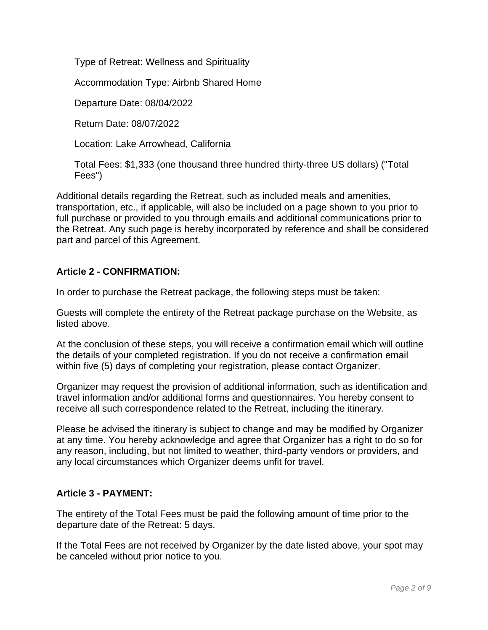Type of Retreat: Wellness and Spirituality

Accommodation Type: Airbnb Shared Home

Departure Date: 08/04/2022

Return Date: 08/07/2022

Location: Lake Arrowhead, California

Total Fees: \$1,333 (one thousand three hundred thirty-three US dollars) ("Total Fees")

Additional details regarding the Retreat, such as included meals and amenities, transportation, etc., if applicable, will also be included on a page shown to you prior to full purchase or provided to you through emails and additional communications prior to the Retreat. Any such page is hereby incorporated by reference and shall be considered part and parcel of this Agreement.

### **Article 2 - CONFIRMATION:**

In order to purchase the Retreat package, the following steps must be taken:

Guests will complete the entirety of the Retreat package purchase on the Website, as listed above.

At the conclusion of these steps, you will receive a confirmation email which will outline the details of your completed registration. If you do not receive a confirmation email within five (5) days of completing your registration, please contact Organizer.

Organizer may request the provision of additional information, such as identification and travel information and/or additional forms and questionnaires. You hereby consent to receive all such correspondence related to the Retreat, including the itinerary.

Please be advised the itinerary is subject to change and may be modified by Organizer at any time. You hereby acknowledge and agree that Organizer has a right to do so for any reason, including, but not limited to weather, third-party vendors or providers, and any local circumstances which Organizer deems unfit for travel.

### **Article 3 - PAYMENT:**

The entirety of the Total Fees must be paid the following amount of time prior to the departure date of the Retreat: 5 days.

If the Total Fees are not received by Organizer by the date listed above, your spot may be canceled without prior notice to you.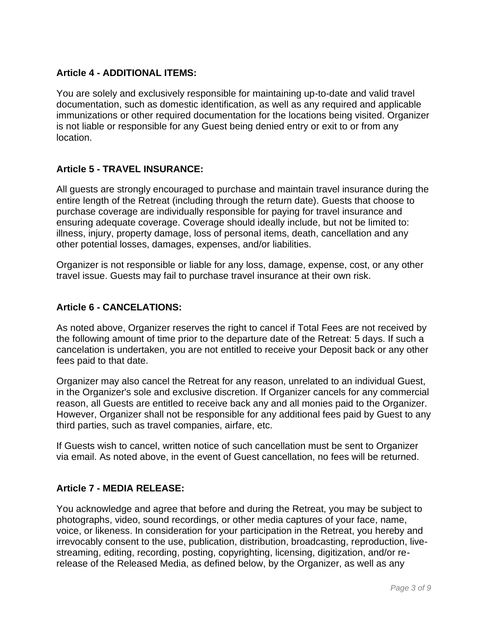### **Article 4 - ADDITIONAL ITEMS:**

You are solely and exclusively responsible for maintaining up-to-date and valid travel documentation, such as domestic identification, as well as any required and applicable immunizations or other required documentation for the locations being visited. Organizer is not liable or responsible for any Guest being denied entry or exit to or from any location.

### **Article 5 - TRAVEL INSURANCE:**

All guests are strongly encouraged to purchase and maintain travel insurance during the entire length of the Retreat (including through the return date). Guests that choose to purchase coverage are individually responsible for paying for travel insurance and ensuring adequate coverage. Coverage should ideally include, but not be limited to: illness, injury, property damage, loss of personal items, death, cancellation and any other potential losses, damages, expenses, and/or liabilities.

Organizer is not responsible or liable for any loss, damage, expense, cost, or any other travel issue. Guests may fail to purchase travel insurance at their own risk.

### **Article 6 - CANCELATIONS:**

As noted above, Organizer reserves the right to cancel if Total Fees are not received by the following amount of time prior to the departure date of the Retreat: 5 days. If such a cancelation is undertaken, you are not entitled to receive your Deposit back or any other fees paid to that date.

Organizer may also cancel the Retreat for any reason, unrelated to an individual Guest, in the Organizer's sole and exclusive discretion. If Organizer cancels for any commercial reason, all Guests are entitled to receive back any and all monies paid to the Organizer. However, Organizer shall not be responsible for any additional fees paid by Guest to any third parties, such as travel companies, airfare, etc.

If Guests wish to cancel, written notice of such cancellation must be sent to Organizer via email. As noted above, in the event of Guest cancellation, no fees will be returned.

### **Article 7 - MEDIA RELEASE:**

You acknowledge and agree that before and during the Retreat, you may be subject to photographs, video, sound recordings, or other media captures of your face, name, voice, or likeness. In consideration for your participation in the Retreat, you hereby and irrevocably consent to the use, publication, distribution, broadcasting, reproduction, livestreaming, editing, recording, posting, copyrighting, licensing, digitization, and/or rerelease of the Released Media, as defined below, by the Organizer, as well as any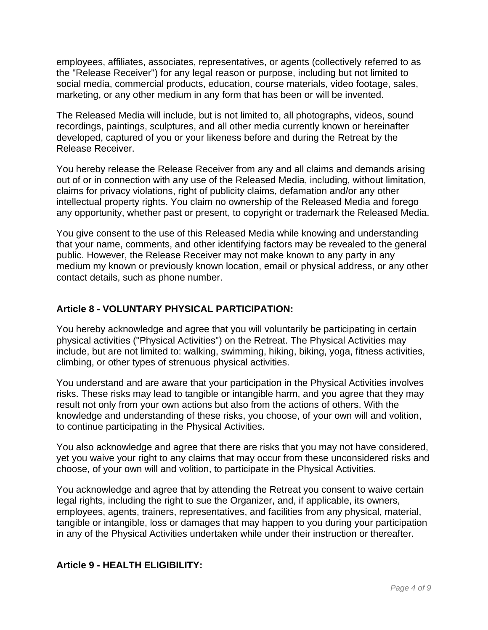employees, affiliates, associates, representatives, or agents (collectively referred to as the "Release Receiver") for any legal reason or purpose, including but not limited to social media, commercial products, education, course materials, video footage, sales, marketing, or any other medium in any form that has been or will be invented.

The Released Media will include, but is not limited to, all photographs, videos, sound recordings, paintings, sculptures, and all other media currently known or hereinafter developed, captured of you or your likeness before and during the Retreat by the Release Receiver.

You hereby release the Release Receiver from any and all claims and demands arising out of or in connection with any use of the Released Media, including, without limitation, claims for privacy violations, right of publicity claims, defamation and/or any other intellectual property rights. You claim no ownership of the Released Media and forego any opportunity, whether past or present, to copyright or trademark the Released Media.

You give consent to the use of this Released Media while knowing and understanding that your name, comments, and other identifying factors may be revealed to the general public. However, the Release Receiver may not make known to any party in any medium my known or previously known location, email or physical address, or any other contact details, such as phone number.

### **Article 8 - VOLUNTARY PHYSICAL PARTICIPATION:**

You hereby acknowledge and agree that you will voluntarily be participating in certain physical activities ("Physical Activities") on the Retreat. The Physical Activities may include, but are not limited to: walking, swimming, hiking, biking, yoga, fitness activities, climbing, or other types of strenuous physical activities.

You understand and are aware that your participation in the Physical Activities involves risks. These risks may lead to tangible or intangible harm, and you agree that they may result not only from your own actions but also from the actions of others. With the knowledge and understanding of these risks, you choose, of your own will and volition, to continue participating in the Physical Activities.

You also acknowledge and agree that there are risks that you may not have considered, yet you waive your right to any claims that may occur from these unconsidered risks and choose, of your own will and volition, to participate in the Physical Activities.

You acknowledge and agree that by attending the Retreat you consent to waive certain legal rights, including the right to sue the Organizer, and, if applicable, its owners, employees, agents, trainers, representatives, and facilities from any physical, material, tangible or intangible, loss or damages that may happen to you during your participation in any of the Physical Activities undertaken while under their instruction or thereafter.

# **Article 9 - HEALTH ELIGIBILITY:**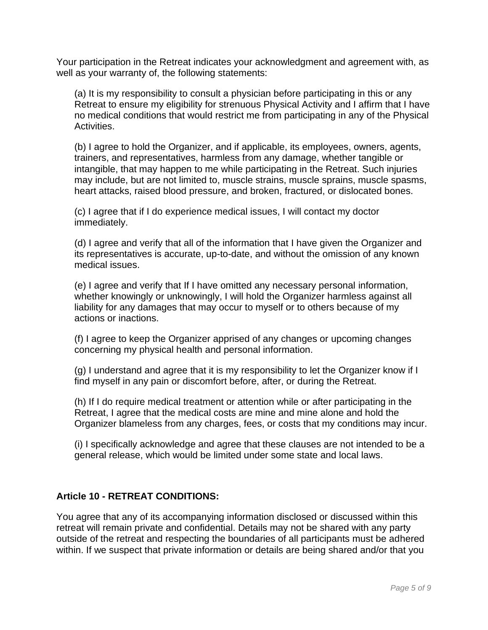Your participation in the Retreat indicates your acknowledgment and agreement with, as well as your warranty of, the following statements:

(a) It is my responsibility to consult a physician before participating in this or any Retreat to ensure my eligibility for strenuous Physical Activity and I affirm that I have no medical conditions that would restrict me from participating in any of the Physical Activities.

(b) I agree to hold the Organizer, and if applicable, its employees, owners, agents, trainers, and representatives, harmless from any damage, whether tangible or intangible, that may happen to me while participating in the Retreat. Such injuries may include, but are not limited to, muscle strains, muscle sprains, muscle spasms, heart attacks, raised blood pressure, and broken, fractured, or dislocated bones.

(c) I agree that if I do experience medical issues, I will contact my doctor immediately.

(d) I agree and verify that all of the information that I have given the Organizer and its representatives is accurate, up-to-date, and without the omission of any known medical issues.

(e) I agree and verify that If I have omitted any necessary personal information, whether knowingly or unknowingly, I will hold the Organizer harmless against all liability for any damages that may occur to myself or to others because of my actions or inactions.

(f) I agree to keep the Organizer apprised of any changes or upcoming changes concerning my physical health and personal information.

(g) I understand and agree that it is my responsibility to let the Organizer know if I find myself in any pain or discomfort before, after, or during the Retreat.

(h) If I do require medical treatment or attention while or after participating in the Retreat, I agree that the medical costs are mine and mine alone and hold the Organizer blameless from any charges, fees, or costs that my conditions may incur.

(i) I specifically acknowledge and agree that these clauses are not intended to be a general release, which would be limited under some state and local laws.

# **Article 10 - RETREAT CONDITIONS:**

You agree that any of its accompanying information disclosed or discussed within this retreat will remain private and confidential. Details may not be shared with any party outside of the retreat and respecting the boundaries of all participants must be adhered within. If we suspect that private information or details are being shared and/or that you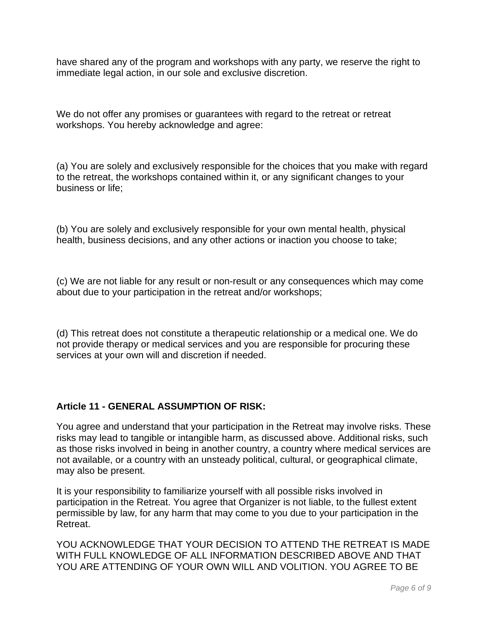have shared any of the program and workshops with any party, we reserve the right to immediate legal action, in our sole and exclusive discretion.

We do not offer any promises or guarantees with regard to the retreat or retreat workshops. You hereby acknowledge and agree:

(a) You are solely and exclusively responsible for the choices that you make with regard to the retreat, the workshops contained within it, or any significant changes to your business or life;

(b) You are solely and exclusively responsible for your own mental health, physical health, business decisions, and any other actions or inaction you choose to take;

(c) We are not liable for any result or non-result or any consequences which may come about due to your participation in the retreat and/or workshops;

(d) This retreat does not constitute a therapeutic relationship or a medical one. We do not provide therapy or medical services and you are responsible for procuring these services at your own will and discretion if needed.

# **Article 11 - GENERAL ASSUMPTION OF RISK:**

You agree and understand that your participation in the Retreat may involve risks. These risks may lead to tangible or intangible harm, as discussed above. Additional risks, such as those risks involved in being in another country, a country where medical services are not available, or a country with an unsteady political, cultural, or geographical climate, may also be present.

It is your responsibility to familiarize yourself with all possible risks involved in participation in the Retreat. You agree that Organizer is not liable, to the fullest extent permissible by law, for any harm that may come to you due to your participation in the Retreat.

YOU ACKNOWLEDGE THAT YOUR DECISION TO ATTEND THE RETREAT IS MADE WITH FULL KNOWLEDGE OF ALL INFORMATION DESCRIBED ABOVE AND THAT YOU ARE ATTENDING OF YOUR OWN WILL AND VOLITION. YOU AGREE TO BE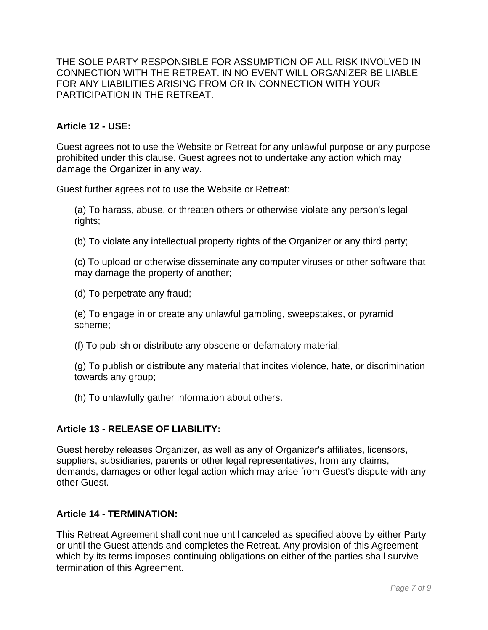THE SOLE PARTY RESPONSIBLE FOR ASSUMPTION OF ALL RISK INVOLVED IN CONNECTION WITH THE RETREAT. IN NO EVENT WILL ORGANIZER BE LIABLE FOR ANY LIABILITIES ARISING FROM OR IN CONNECTION WITH YOUR PARTICIPATION IN THE RETREAT.

### **Article 12 - USE:**

Guest agrees not to use the Website or Retreat for any unlawful purpose or any purpose prohibited under this clause. Guest agrees not to undertake any action which may damage the Organizer in any way.

Guest further agrees not to use the Website or Retreat:

(a) To harass, abuse, or threaten others or otherwise violate any person's legal rights;

(b) To violate any intellectual property rights of the Organizer or any third party;

(c) To upload or otherwise disseminate any computer viruses or other software that may damage the property of another;

(d) To perpetrate any fraud;

(e) To engage in or create any unlawful gambling, sweepstakes, or pyramid scheme;

(f) To publish or distribute any obscene or defamatory material;

(g) To publish or distribute any material that incites violence, hate, or discrimination towards any group;

(h) To unlawfully gather information about others.

### **Article 13 - RELEASE OF LIABILITY:**

Guest hereby releases Organizer, as well as any of Organizer's affiliates, licensors, suppliers, subsidiaries, parents or other legal representatives, from any claims, demands, damages or other legal action which may arise from Guest's dispute with any other Guest.

### **Article 14 - TERMINATION:**

This Retreat Agreement shall continue until canceled as specified above by either Party or until the Guest attends and completes the Retreat. Any provision of this Agreement which by its terms imposes continuing obligations on either of the parties shall survive termination of this Agreement.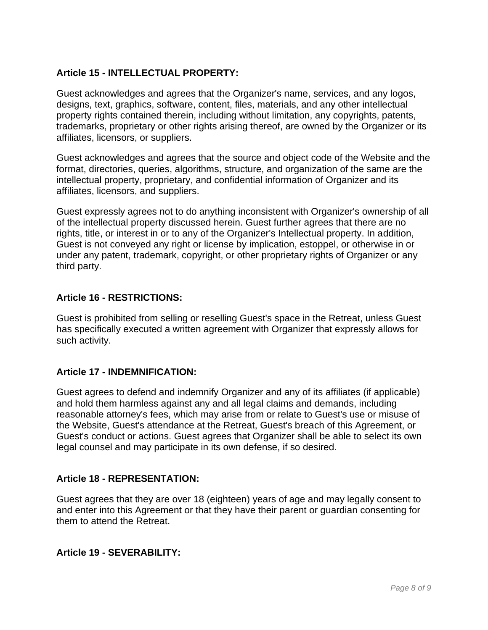### **Article 15 - INTELLECTUAL PROPERTY:**

Guest acknowledges and agrees that the Organizer's name, services, and any logos, designs, text, graphics, software, content, files, materials, and any other intellectual property rights contained therein, including without limitation, any copyrights, patents, trademarks, proprietary or other rights arising thereof, are owned by the Organizer or its affiliates, licensors, or suppliers.

Guest acknowledges and agrees that the source and object code of the Website and the format, directories, queries, algorithms, structure, and organization of the same are the intellectual property, proprietary, and confidential information of Organizer and its affiliates, licensors, and suppliers.

Guest expressly agrees not to do anything inconsistent with Organizer's ownership of all of the intellectual property discussed herein. Guest further agrees that there are no rights, title, or interest in or to any of the Organizer's Intellectual property. In addition, Guest is not conveyed any right or license by implication, estoppel, or otherwise in or under any patent, trademark, copyright, or other proprietary rights of Organizer or any third party.

### **Article 16 - RESTRICTIONS:**

Guest is prohibited from selling or reselling Guest's space in the Retreat, unless Guest has specifically executed a written agreement with Organizer that expressly allows for such activity.

### **Article 17 - INDEMNIFICATION:**

Guest agrees to defend and indemnify Organizer and any of its affiliates (if applicable) and hold them harmless against any and all legal claims and demands, including reasonable attorney's fees, which may arise from or relate to Guest's use or misuse of the Website, Guest's attendance at the Retreat, Guest's breach of this Agreement, or Guest's conduct or actions. Guest agrees that Organizer shall be able to select its own legal counsel and may participate in its own defense, if so desired.

### **Article 18 - REPRESENTATION:**

Guest agrees that they are over 18 (eighteen) years of age and may legally consent to and enter into this Agreement or that they have their parent or guardian consenting for them to attend the Retreat.

### **Article 19 - SEVERABILITY:**